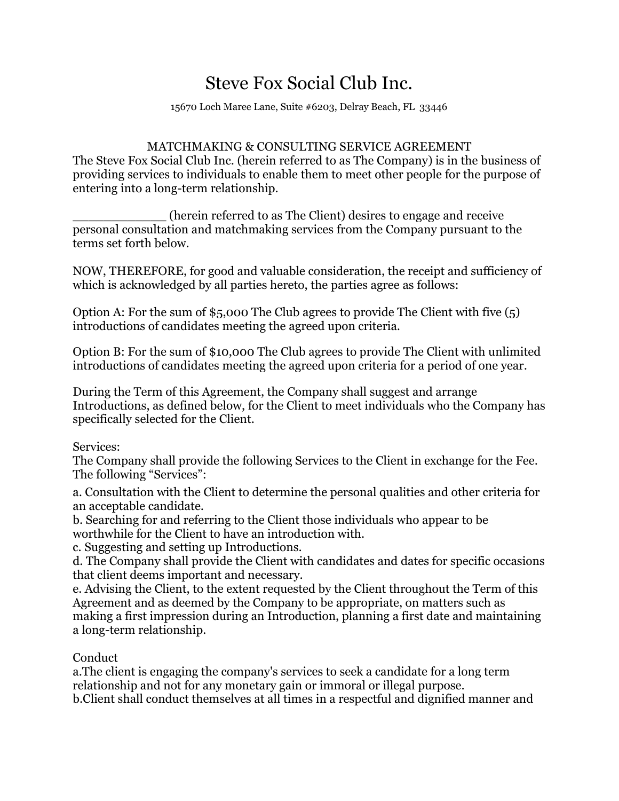## Steve Fox Social Club Inc.

15670 Loch Maree Lane, Suite #6203, Delray Beach, FL 33446

## MATCHMAKING & CONSULTING SERVICE AGREEMENT

The Steve Fox Social Club Inc. (herein referred to as The Company) is in the business of providing services to individuals to enable them to meet other people for the purpose of entering into a long-term relationship.

\_\_\_\_\_\_\_\_\_\_\_\_ (herein referred to as The Client) desires to engage and receive personal consultation and matchmaking services from the Company pursuant to the terms set forth below.

NOW, THEREFORE, for good and valuable consideration, the receipt and sufficiency of which is acknowledged by all parties hereto, the parties agree as follows:

Option A: For the sum of \$5,000 The Club agrees to provide The Client with five (5) introductions of candidates meeting the agreed upon criteria.

Option B: For the sum of \$10,000 The Club agrees to provide The Client with unlimited introductions of candidates meeting the agreed upon criteria for a period of one year.

During the Term of this Agreement, the Company shall suggest and arrange Introductions, as defined below, for the Client to meet individuals who the Company has specifically selected for the Client.

Services:

The Company shall provide the following Services to the Client in exchange for the Fee. The following "Services":

a. Consultation with the Client to determine the personal qualities and other criteria for an acceptable candidate.

b. Searching for and referring to the Client those individuals who appear to be worthwhile for the Client to have an introduction with.

c. Suggesting and setting up Introductions.

d. The Company shall provide the Client with candidates and dates for specific occasions that client deems important and necessary.

e. Advising the Client, to the extent requested by the Client throughout the Term of this Agreement and as deemed by the Company to be appropriate, on matters such as making a first impression during an Introduction, planning a first date and maintaining a long-term relationship.

## Conduct

a.The client is engaging the company's services to seek a candidate for a long term relationship and not for any monetary gain or immoral or illegal purpose. b.Client shall conduct themselves at all times in a respectful and dignified manner and